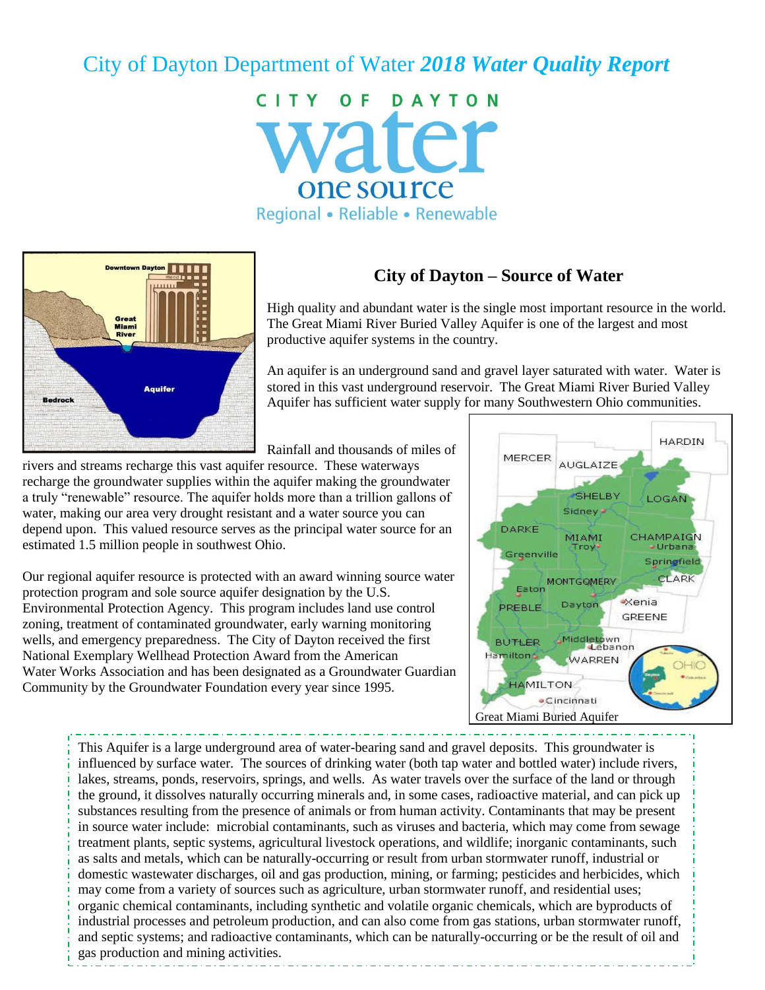# City of Dayton Department of Water *2018 Water Quality Report*

CITY OF DAYTON vater one source Regional • Reliable • Renewable



## **City of Dayton – Source of Water**

High quality and abundant water is the single most important resource in the world. The Great Miami River Buried Valley Aquifer is one of the largest and most productive aquifer systems in the country.

An aquifer is an underground sand and gravel layer saturated with water. Water is stored in this vast underground reservoir. The Great Miami River Buried Valley Aquifer has sufficient water supply for many Southwestern Ohio communities.

Rainfall and thousands of miles of

rivers and streams recharge this vast aquifer resource. These waterways recharge the groundwater supplies within the aquifer making the groundwater a truly "renewable" resource. The aquifer holds more than a trillion gallons of water, making our area very drought resistant and a water source you can depend upon. This valued resource serves as the principal water source for an estimated 1.5 million people in southwest Ohio.

Our regional aquifer resource is protected with an award winning source water protection program and sole source aquifer designation by the U.S. Environmental Protection Agency. This program includes land use control zoning, treatment of contaminated groundwater, early warning monitoring wells, and emergency preparedness. The City of Dayton received the first National Exemplary Wellhead Protection Award from the American Water Works Association and has been designated as a Groundwater Guardian Community by the Groundwater Foundation every year since 1995.



This Aquifer is a large underground area of water-bearing sand and gravel deposits. This groundwater is influenced by surface water. The sources of drinking water (both tap water and bottled water) include rivers, lakes, streams, ponds, reservoirs, springs, and wells. As water travels over the surface of the land or through the ground, it dissolves naturally occurring minerals and, in some cases, radioactive material, and can pick up substances resulting from the presence of animals or from human activity. Contaminants that may be present in source water include: microbial contaminants, such as viruses and bacteria, which may come from sewage treatment plants, septic systems, agricultural livestock operations, and wildlife; inorganic contaminants, such as salts and metals, which can be naturally-occurring or result from urban stormwater runoff, industrial or domestic wastewater discharges, oil and gas production, mining, or farming; pesticides and herbicides, which may come from a variety of sources such as agriculture, urban stormwater runoff, and residential uses; organic chemical contaminants, including synthetic and volatile organic chemicals, which are byproducts of industrial processes and petroleum production, and can also come from gas stations, urban stormwater runoff, and septic systems; and radioactive contaminants, which can be naturally-occurring or be the result of oil and gas production and mining activities.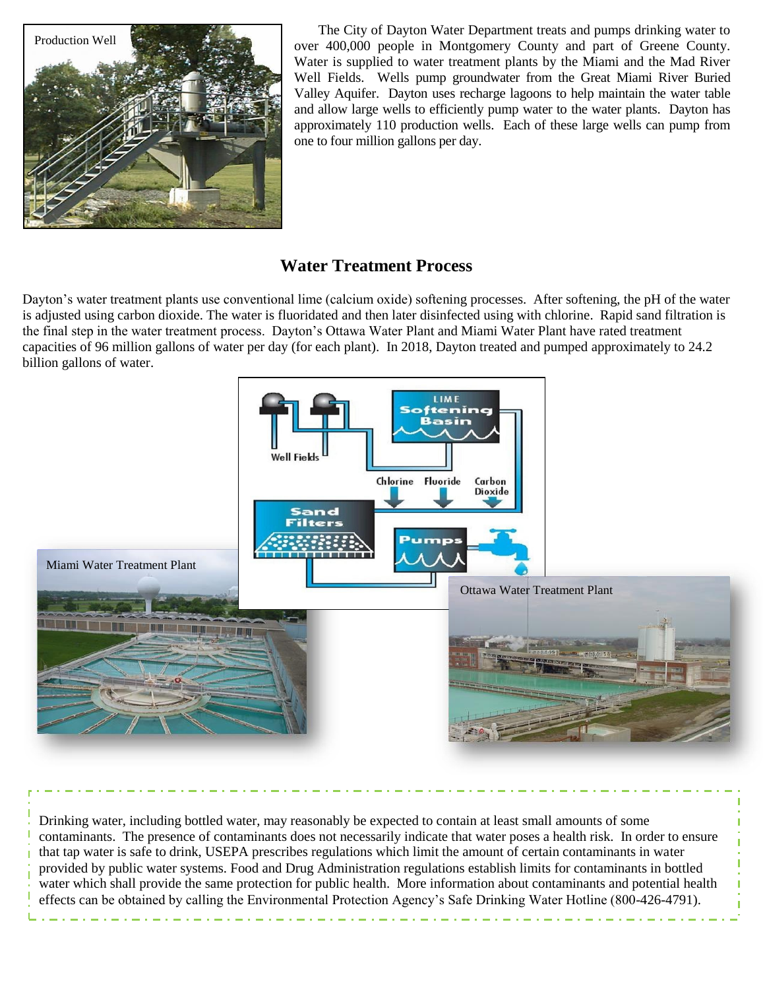

The City of Dayton Water Department treats and pumps drinking water to over 400,000 people in Montgomery County and part of Greene County. Water is supplied to water treatment plants by the Miami and the Mad River Well Fields. Wells pump groundwater from the Great Miami River Buried Valley Aquifer. Dayton uses recharge lagoons to help maintain the water table and allow large wells to efficiently pump water to the water plants. Dayton has approximately 110 production wells. Each of these large wells can pump from one to four million gallons per day.

## **Water Treatment Process**

Dayton's water treatment plants use conventional lime (calcium oxide) softening processes. After softening, the pH of the water is adjusted using carbon dioxide. The water is fluoridated and then later disinfected using with chlorine. Rapid sand filtration is the final step in the water treatment process. Dayton's Ottawa Water Plant and Miami Water Plant have rated treatment capacities of 96 million gallons of water per day (for each plant). In 2018, Dayton treated and pumped approximately to 24.2 billion gallons of water.



Drinking water, including bottled water, may reasonably be expected to contain at least small amounts of some contaminants. The presence of contaminants does not necessarily indicate that water poses a health risk. In order to ensure that tap water is safe to drink, USEPA prescribes regulations which limit the amount of certain contaminants in water provided by public water systems. Food and Drug Administration regulations establish limits for contaminants in bottled water which shall provide the same protection for public health. More information about contaminants and potential health effects can be obtained by calling the Environmental Protection Agency's Safe Drinking Water Hotline (800-426-4791).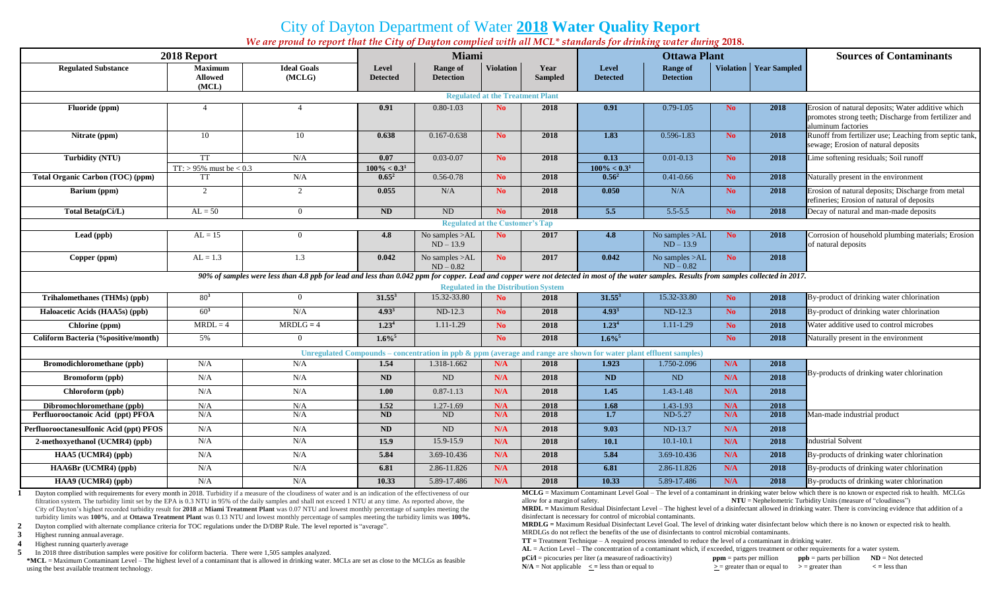# City of Dayton Department of Water **2018 Water Quality Report**

*We are proud to report that the City of Dayton complied with all MCL\* standards for drinking water during* **2018.**

| 2018 Report<br><b>Miami</b><br><b>Ottawa Plant</b>                                                                                                                                                                                           | <b>Sources of Contaminants</b>                                                                  |  |  |
|----------------------------------------------------------------------------------------------------------------------------------------------------------------------------------------------------------------------------------------------|-------------------------------------------------------------------------------------------------|--|--|
| <b>Ideal Goals</b><br><b>Violation</b><br>Year<br><b>Violation   Year Sampled</b><br><b>Regulated Substance</b><br><b>Maximum</b><br>Level<br><b>Range of</b><br>Level<br><b>Range of</b><br>(MCLG)<br><b>Detection</b><br><b>Detection</b>  |                                                                                                 |  |  |
| <b>Allowed</b><br><b>Sampled</b><br><b>Detected</b><br><b>Detected</b><br>(MCL)                                                                                                                                                              |                                                                                                 |  |  |
| <b>Regulated at the Treatment Plant</b>                                                                                                                                                                                                      |                                                                                                 |  |  |
| $0.80 - 1.03$<br>Fluoride (ppm)<br>$\overline{4}$<br>$\overline{4}$<br>0.91<br>N <sub>0</sub><br>2018<br>0.91<br>$0.79 - 1.05$<br>2018<br>N <sub>0</sub>                                                                                     | Erosion of natural deposits; Water additive which                                               |  |  |
| aluminum factories                                                                                                                                                                                                                           | promotes strong teeth; Discharge from fertilizer and                                            |  |  |
| 2018<br>1.83<br>$0.596 - 1.83$<br>$\frac{2018}{ }$<br>10<br>0.638<br>0.167-0.638<br>N <sub>o</sub><br>Nitrate (ppm)<br>10<br>N <sub>o</sub>                                                                                                  | Runoff from fertilizer use; Leaching from septic tank,                                          |  |  |
|                                                                                                                                                                                                                                              | sewage; Erosion of natural deposits                                                             |  |  |
| <b>TT</b><br>N/A<br>0.07<br>$0.03 - 0.07$<br>N <sub>o</sub><br>2018<br>0.13<br>$0.01 - 0.13$<br>2018<br><b>Turbidity (NTU)</b><br>N <sub>o</sub>                                                                                             | Lime softening residuals; Soil runoff                                                           |  |  |
| $TT:$ > 95% must be < 0.3<br>$100\% < 0.3^1$<br>$100\% < 0.3^1$<br>$0.56^2$<br>N/A<br>$0.65^2$<br>$0.56 - 0.78$<br>$0.41 - 0.66$<br><b>Total Organic Carbon (TOC) (ppm)</b><br><b>TT</b><br>2018<br>2018<br>N <sub>o</sub><br>N <sub>o</sub> | Naturally present in the environment                                                            |  |  |
|                                                                                                                                                                                                                                              |                                                                                                 |  |  |
| 2<br>2<br>0.055<br>N/A<br>N <sub>o</sub><br>2018<br>0.050<br>N/A<br><b>No</b><br>2018<br><b>Barium</b> (ppm)                                                                                                                                 | Erosion of natural deposits; Discharge from metal<br>refineries; Erosion of natural of deposits |  |  |
| $AL = 50$<br>$\overline{ND}$<br>ND<br>$\overline{5.5}$<br>$5.5 - 5.5$<br>N <sub>0</sub><br>2018<br>2018<br>Total Beta(pCi/L)<br>$\theta$<br>N <sub>o</sub>                                                                                   | Decay of natural and man-made deposits                                                          |  |  |
| <b>Regulated at the Customer's Tap</b>                                                                                                                                                                                                       |                                                                                                 |  |  |
| Lead (ppb)<br>$AL = 15$<br>4.8<br>No samples >AL<br>N <sub>o</sub><br>2017<br>4.8<br>No samples >AL<br>N <sub>o</sub><br>2018<br>$\Omega$                                                                                                    | Corrosion of household plumbing materials; Erosion                                              |  |  |
| $ND - 13.9$<br>$ND - 13.9$<br>of natural deposits                                                                                                                                                                                            |                                                                                                 |  |  |
| $AL = 1.3$<br>1.3<br>0.042<br>No samples >AL<br>N <sub>o</sub><br>2017<br>0.042<br>No samples >AL<br>N <sub>o</sub><br>2018<br>Copper (ppm)<br>$ND - 0.82$<br>$ND - 0.82$                                                                    |                                                                                                 |  |  |
| 90% of samples were less than 4.8 ppb for lead and less than 0.042 ppm for copper. Lead and copper were not detected in most of the water samples. Results from samples collected in 2017.                                                   |                                                                                                 |  |  |
| <b>Regulated in the Distribution System</b>                                                                                                                                                                                                  |                                                                                                 |  |  |
| $80^{3}$<br>$31.55^3$<br>$31.55^3$<br>15.32-33.80<br>Trihalomethanes (THMs) (ppb)<br>15.32-33.80<br>N <sub>o</sub><br>2018<br>No.<br>2018<br>$\Omega$                                                                                        | By-product of drinking water chlorination                                                       |  |  |
| $60^{3}$<br>$4.93^{3}$<br>$4.93^{3}$<br>N/A<br>$ND-12.3$<br>N <sub>o</sub><br>2018<br>ND-12.3<br>N <sub>o</sub><br>2018<br>Haloacetic Acids (HAA5s) (ppb)                                                                                    | By-product of drinking water chlorination                                                       |  |  |
| $MRDL = 4$<br>$MRDLG = 4$<br>1.23 <sup>4</sup><br>$1.11 - 1.29$<br>1.23 <sup>4</sup><br>1.11-1.29<br>N <sub>o</sub><br>2018<br>N <sub>o</sub><br>2018<br>Chlorine (ppm)                                                                      | Water additive used to control microbes                                                         |  |  |
| $1.6\%$ <sup>5</sup><br>$1.6\%$<br>5%<br>N <sub>o</sub><br>2018<br>N <sub>o</sub><br>2018<br><b>Coliform Bacteria (%positive/month)</b><br>$\Omega$                                                                                          | Naturally present in the environment                                                            |  |  |
| Unregulated Compounds – concentration in ppb $\&$ ppm (average and range are shown for water plant effluent samples)                                                                                                                         |                                                                                                 |  |  |
| 1.318-1.662<br>1.750-2.096<br>N/A<br>2018<br>Bromodichloromethane (ppb)<br>N/A<br>N/A<br>1.54<br>N/A<br>2018<br>1.923                                                                                                                        |                                                                                                 |  |  |
| N/A<br>2018<br>ND<br>ND<br>N/A<br>2018<br>ND<br>ND<br>Bromoform (ppb)<br>N/A<br>N/A                                                                                                                                                          | By-products of drinking water chlorination                                                      |  |  |
| N/A<br>N/A<br>$0.87 - 1.13$<br>N/A<br>2018<br>1.43-1.48<br>N/A<br>Chloroform (ppb)<br>1.00<br>1.45<br>2018                                                                                                                                   |                                                                                                 |  |  |
| Dibromochloromethane (ppb)<br>N/A<br>1.43-1.93<br>N/A<br>1.52<br>1.27-1.69<br>N/A<br>2018<br>1.68<br>N/A<br>2018                                                                                                                             |                                                                                                 |  |  |
| N/A<br>ND<br>1.7<br>ND-5.27<br>N/A<br>Perfluorooctanoic Acid (ppt) PFOA<br>N/A<br>ND<br>N/A<br>2018<br>2018                                                                                                                                  | Man-made industrial product                                                                     |  |  |
| Perfluorooctanesulfonic Acid (ppt) PFOS<br>N/A<br>ND-13.7<br>N/A<br>N/A<br>ND<br>ND<br>N/A<br>2018<br>9.03<br>2018                                                                                                                           |                                                                                                 |  |  |
| 15.9<br>15.9-15.9<br>N/A<br>2018<br>10.1<br>$10.1 - 10.1$<br>N/A<br>2018<br><b>Industrial Solvent</b><br>2-methoxyethanol (UCMR4) (ppb)<br>N/A<br>N/A                                                                                        |                                                                                                 |  |  |
| N/A<br>N/A<br>N/A<br>3.69-10.436<br>2018<br>5.84<br>3.69-10.436<br>2018<br>HAA5 (UCMR4) (ppb)<br>5.84<br>N/A                                                                                                                                 | By-products of drinking water chlorination                                                      |  |  |
| HAA6Br (UCMR4) (ppb)<br>6.81<br>2.86-11.826<br>N/A<br>2018<br>6.81<br>2.86-11.826<br>N/A<br>2018<br>N/A<br>N/A                                                                                                                               | By-products of drinking water chlorination                                                      |  |  |
|                                                                                                                                                                                                                                              |                                                                                                 |  |  |

**1** Dayton complied with requirements for every month in 2018. Turbidity if a measure of the cloudiness of water and is an indication of the effectiveness of our filtration system. The turbidity limit set by the EPA is 0.3 NTU in 95% of the daily samples and shall not exceed 1 NTU at any time. As reported above, the City of Dayton's highest recorded turbidity result for **2018** at **Miami Treatment Plant** was 0.07 NTU and lowest monthly percentage of samples meeting the turbidity limits was **100%**, and at **Ottawa Treatment Plant** was 0.13 NTU and lowest monthly percentage of samples meeting the turbidity limits was **100%.**

- **2** Dayton complied with alternate compliance criteria for TOC regulations under the D/DBP Rule. The level reported is "average".
- **3** Highest running annual average.
- **4** Highest running quarterly average
- **5** In 2018 three distribution samples were positive for coliform bacteria. There were 1,505 samples analyzed.

**\*MCL** = Maximum Contaminant Level – The highest level of a contaminant that is allowed in drinking water. MCLs are set as close to the MCLGs as feasible using the best available treatment technology.

**MCLG** = Maximum Contaminant Level Goal – The level of a contaminant in drinking water below which there is no known or expected risk to health. MCLGs allow for a margin of safety. **NTU** = Nephelometric Turbidity Units (measure of "cloudiness")

**MRDL =** Maximum Residual Disinfectant Level – The highest level of a disinfectant allowed in drinking water. There is convincing evidence that addition of a disinfectant is necessary for control of microbial contaminants.

**MRDLG =** Maximum Residual Disinfectant Level Goal. The level of drinking water disinfectant below which there is no known or expected risk to health. MRDLGs do not reflect the benefits of the use of disinfectants to control microbial contaminants.

**TT =** Treatment Technique – A required process intended to reduce the level of a contaminant in drinking water.

**AL** = Action Level – The concentration of a contaminant which, if exceeded, triggers treatment or other requirements for a water system. **pCi/l** = picocuries per liter (a measure of radioactivity) **ppm** = parts per million **ppb** = parts per billion **ND** = Not detected

 $N/A$  = Not applicable  $\le$  = less than or equal to  $\ge$  = greater than or equal to  $\ge$  = greater than  $\le$  = less than